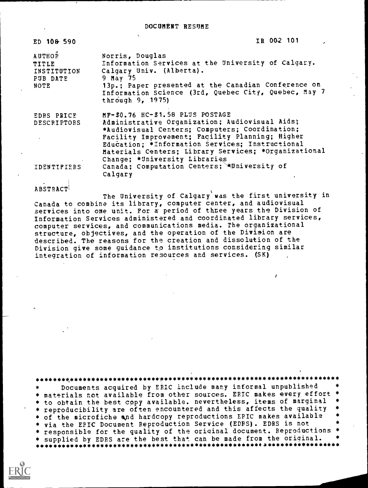| ED 108 590                                                       | IR 00-2 101                                                                                                                                                                                                                                                                                                                         |  |
|------------------------------------------------------------------|-------------------------------------------------------------------------------------------------------------------------------------------------------------------------------------------------------------------------------------------------------------------------------------------------------------------------------------|--|
| <b>AUTHOR</b><br><b>TITLE</b><br>INSTITUTION<br>PUB DATE<br>NOTE | Norris, Douglas<br>Information Services at the University of Calgary.<br>Calgary Univ. (Alberta).<br>9 May 75<br>13p.; Paper presented at the Canadian Conference on<br>Information Science (3rd, Quebec City, Quebec, May 7<br>through 9, 1975)                                                                                    |  |
| <b>EDRS PRICE</b><br><b>DESCRIPTORS</b>                          | MF-\$0.76 HC-\$1.58 PLUS POSTAGE<br>Administrative Organization; Audiovisual Aids;<br>*Audiovisual Centers; Computers; Coordination;<br>Facility Improvement; Facility Planning; Higher<br>Education; *Information Services; Instructional<br>Materials Centers; Library Services; *Organizational<br>Change; *University Libraries |  |
| IDENTIFIERS                                                      | Canada; Computation Centers; \University of<br>Calgary                                                                                                                                                                                                                                                                              |  |

ABSTRACT1

The University of Calgary was the first university in Canada to combine its library, computer center, and audiovisual services into one unit. For a' period of three years the Division of Information Services administered and coordinated library services, computer services, and communications media. The organizational structure, objectives, and the operation of the Division are described. The reasons for the creation and dissolution of the Division give some guidance to institutions considering similar integration of information resources and services. (SK)

\*\*\*\*\*\*\*\*\*\*\*\*\*\*\*\*\*\*\*\*\*\*\*\*\*\*\*\*\*\*\*\*\*\*\*\* Documents acquired by ERIC include many informal unpublished \* materials not available from other sources. ERIC makes every effort<br>\* to obtain the best copy available. nevertheless, items of marginal \* reproducibility are often encountered and this affects the quality \* of the microfiche and hardcopy reproductions ERIC makes available \* via the EPIC Document Reproduction Service (EDRS). EDRS is not \* responsible for the quality of the original document. Reproductions \* \* supplied by EDRS are the best that can be made from the original. \*\*\*\*\*\*\*\*\*\*\*\*\*\*\*\*\*\*\*\*\*\*\*\*\*\*\*\*\*\*\*\*\*\*\*\*\*\*\*\*\*\*\*\*\*\*\*\*\*\*\*\*\*\*\*\*\*\*\*\*\*\*\*\*\*\*\*\*\*\*\*

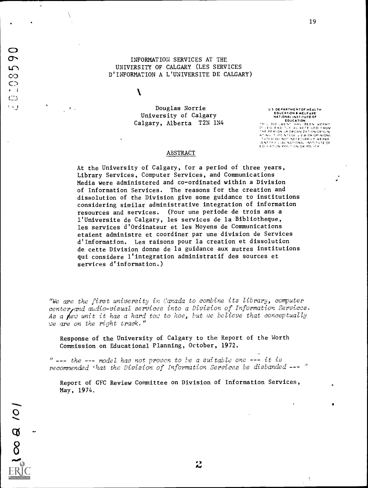INFORMATION SERVICES AT THE UNIVERSITY OF CALGARY (LES SERVICES D'INFORMATION A L'UNIVERSITE DE CALGARY)

 $\mathcal{L}$ 

Douglas Norrie University of Calgary Calgary, Alberta T2N 1N4

DEPARTMENT OF HEALTH EDUCATION &WELFARE THE TRINC ...<br>
EDUCATION<br>
THIS ... DOMENT ...HAS ... BEEN WEPPRO<br>
THE PER NON JP OP ,ANG OR PHONOR<br>
THE PER NON JP OP NEGARE 24TON OP PHONS<br>
THIS ... DOMENT ... THE OR NOT THE OR THE OR THE SETTING THE O

19

#### ABSTRACT

At the University of Calgary, for a period of three years, Library Services, Computer Services, and Communications Media were administered and co-ordinated within a Division of Information Services. The reasons for the creation and dissolution of the Division give some guidance to institutions considering similar administrative integration of information resources and services. (Pour une periode de trois ans a l'Universite de Calgary, les services de la Bibliotheque, les services d'Ordinateur et les Moyens de Communications etaient administre et coordiner par une division de Services d'Information. Les raisons pour la creation et dissolution de cette Division donne de la guidance aux autres institutions qui considere l'integration administratif des sources et services d'information.)

"We are the first university in Canada to combine its library, computer center, and audio-visual services into a Division of Information Services. As a new unit it has a hard tow to hoe, but we believe that conceptually we are on the right track."

Response of the University of Calgary to the Report of the Worth Commission on Educational Planning, October, 1972.

 $" --- the --- model has not proven to be a suitable one --- it is$ recommended 'hat the Division of Information Services be disbanded --- "

Report of GFC Review Committee on Division of Information Services, May, 1974.

نه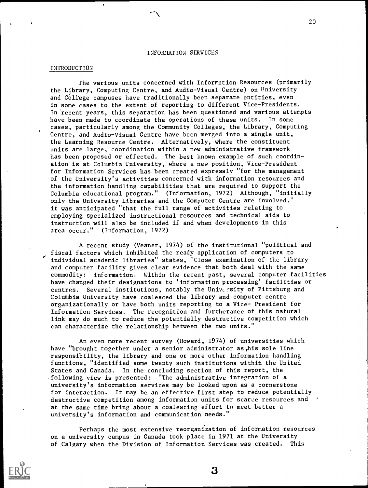#### INTRODUCTION

The various units concerned with Information Resources (primarily the Library, Computing Centre, and Audio-Visual Centre) on University and College campuses have traditionally been separate entities, even in some cases to the extent of reporting to different Vice-Presidents. In 'recent years, this separation has been questioned and various attempts have been made to-coordinate the operations of these units. In some cases, particularly among the Community Colleges, the Library, Computing Centre, and Audio-Visual Centre have been merged into a single unit, the Learning Resource Centre. Alternatively, where the constituent units are large, coordination within a new administrative framework has been proposed or effected. The best known example of such coordination is at Columbia University, where a new position, Vice-President for Information Services has been created expressly "for the management of the University's activities concerned with information resources and the information handling capabilities that are required to support the Columbia educational program." (Information, 1972) Although, "initially only the University Libraries and the Computer Centre are involved," it was anticipated "that the full range of activities relating to employing specialized instructional resources and technical aids to instruction will also be included if and when developments in this area occur." (Information, 1972)

A recent study (Veaner, 1974) of the institutional "political and fiscal factors which inhibited the ready application of computers to individual academic libraries" states, "Close examination of the library and computer facility gives clear evidence that both deal with the same commodity: information. Within the recent past, several computer facilities have changed their designations to 'information processing' facilities or centres. Several institutions, notably the University of Pittsburg and Columbia University have coalesced the library and computer centre organizationally or have both units reporting to a Vice- President for Information Services. The recognition and furtherance of this natural link may do much to reduce the potentially destructive competition which can characterize the relationship between the two units."

An even more recent survey (Howard, 1974) of universities which have "brought together under a senior administrator as his sole line responsibility, the library and one or more other information handling functions, "identified some twenty such institutions within the United States and Canada. In the concluding section of this report, the \_following view is presented: "The administrative integration of a university's information services may be looked upon as a cornerstone for interaction. It may be an effective first step to reduce potentially destructive competition among information units for scarce resources and at the same time bring about a coalescing effort to meet better a university's information and communication needs."

Perhaps the most extensive reorganization of information resources on a university campus in Canada took place in 1971 at the University of Calgary when the Division of Information Services was created. This

rera.rm.....=11..

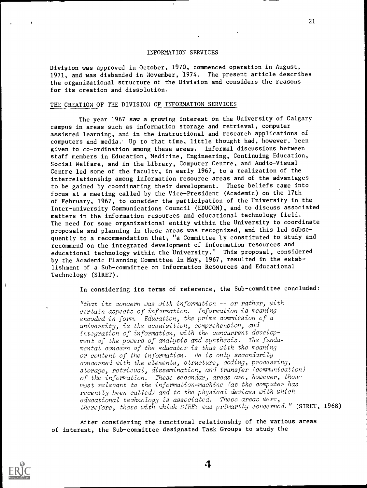Division was approved in October, 1970, commenced operation in August, 1971, and was disbanded in November, 1974. The present article describes the organizational structure of the Division and considers the reasons for its creation and dissolution.

# THE CREATION OF THE DIVISION OF INFORMATION SERVICES

The year 1967 saw a growing interest on the University of Calgary campus in areas such as information storage and retrieval, computer assisted learning, and in the instructional and research applications of computers and media.' Up to that time, little thought had, however, been given to co-ordination among these areas. Informal discussions between staff members in Education, Medicine, Engineering, Continuing Education, Social Welfare, and in the Library, Computer Centre, and Audio-Visual Centre led some of the faculty, in early 1967, to a realization of the interrelationship among information resource areas and of the advantages to be gained by coordinating their development. These beliefs came into focus at a meeting called by the Vice-President (Academic) on the 17th of February, 1967, to consider the participation of the University in the Inter-university Communications Council (EDUCOM), and to discuss associated matters in the information resources and educational technology field. The need for some organizational entity within the University to coordinate proposals and planning in these areas was recognized, and this led subsequently to a recommendation that, "a Committee Ly constituted to study and recommend on the integrated development of information resources and educational technology within the University." This proposal, considered by the Academic Planning Committee in May, 1967, resulted in the establishment of a Sub-committee on Information Resources and Educational Technology (S1RET).

In considering its terms of reference, the Sub-committee concluded:

"that its concern was with information -- or rather, with certain aspects of information. Information is meaning encoded in form. Education, the prime commission of a university, is the acquisition, comprehension, and integration of information, with the concurrent development of the powers of analysis and synthesis. The fundamental concern of the educator is thus with the meaning or content of the information. He is only secondarily concerned with the elements, structure, coding, processing, storage, retrieval, dissemination, and transfer (communication) of the information. These secondar<sub>d</sub> areas are, however, those most relevant to the information-machine (as the computer has recently been called) and to the physical devices with which educational technology is associated. These areas were, therefore, those with which SIRET was primarily concerned." (SIRET, 1968)

After considering the functional relationship of the various areas of interest, the Sub-committee designated Task Groups to study the

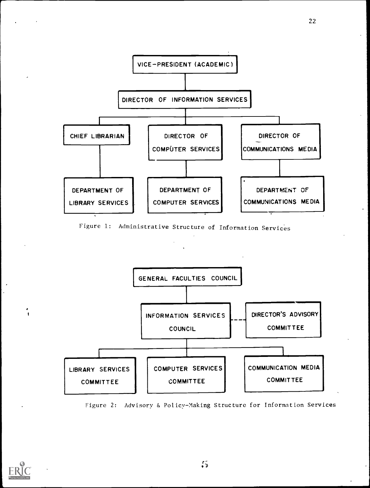

22

Figure 1: Administrative Structure of Information Services



Figure 2: Advisory & Policy-Making Structure for Information Services

![](_page_4_Picture_4.jpeg)

i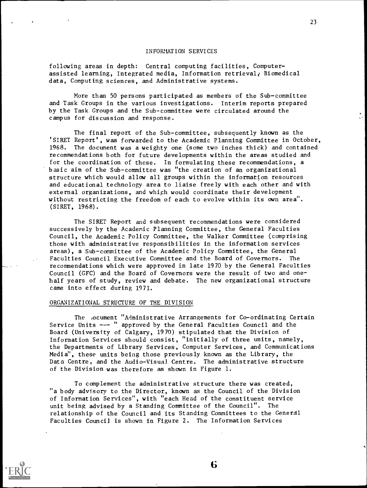following areas in depth: Central computing facilities, Computerassisted learning, Integrated media, Information retrieval, Biomedical data, Computing sciences, and Administrative systems.

More than 50 persons participated as members of the Sub-committee and Task Groups in the various investigations. Interim reports prepared by the Task Groups and the Sub-committee were circulated around the campus for discussion and response.

The final report of the Sub-committee, subsequently known as the 'SIRET Report', was forwarded to the Academic Planning Committee in October, 1968. The document was a weighty one (some two inches thick) and contained recommendations both for future developments within the areas studied and for the coordination of these. In formulating these recommendations, a basic aim of the Sub-committee was "the creation of an organizational structure which would allow all groups within the information resources and educational technology area to liaise freely with each other and with external organizations, and which would coordinate their development without restricting the freedom of each to evolve within its own area". (SIRET, 1968).

The SIRET Report and subsequent recommendations were considered successively by the Academic Planning Committee, the General Faculties Council, the Academic Policy Committee, the Walker Committee (comprising those with administrative responsibilities in the information services areas), a Sub-committee of the Academic Policy Committee, the General Faculties Council Executive Committee and the Board of Governors. The recommendations which were approved in late 1970 by the General Faculties Council (GFC) and the Board of Governors were the result of two and onehalf years of study, review and debate. The new organizational structure came into effect during 1971.

# ORGANIZATIONAL STRUCTURE OF THE DIVISION

The iocument "Administrative Arrangements for Co-ordinating Certain Service Units --- " approved by the General Faculties Council and the Board (University of Calgary, 1970) stipulated that the Division of Information Services should consist, "initially of three units, namely, the Departments of Library Services, Computer Services, and Communications Media", these units being those previously known as the Library, the Data Centre, and the Audio-Visual Centre. The administrative structure of the Division was therefore as shown in Figure 1.

To complement the administrative structure there was created, "a body advisory to the Director, known as the Council of the Division of Information Services", with "each Head of the constituent service unit being advised by a Standing Committee of the Council". The relationship of the Council and its Standing Committees to the Generdl Faculties Council is shown in Figure 2. The Information Services

![](_page_5_Picture_8.jpeg)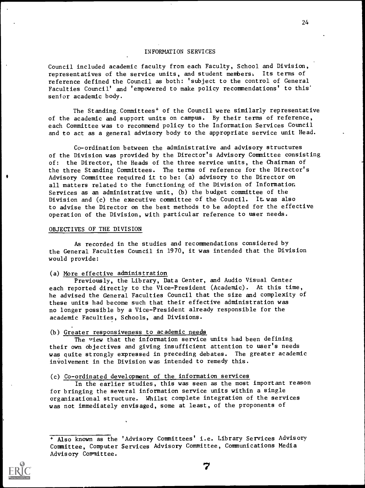Council included academic faculty from each Faculty, School and Division, representatives of the service units, and student members: Its terms of reference defined the Council as both: 'subject to the control of General Faculties Council' and 'empowered to make policy recommendations' to this' senior academic body.

The Standing.Committees' of the Council were similarly representative of the academic and support units on campus. By their terms of reference, each Committee was to recommend policy to the Information Services Council and to act as a general advisory body to the appropriate service unit Head.

Co-ordination between the administrative and advisory structures of the Division was provided by the Director's Advisory Committee consisting of: the Director, the Heads of the three service units, the Chairman of the three Standing Committees. The terms of reference for the Director's Advisory Committee required it to be: (a) advisory to the Director on all matters related to the functioning of the Division of Information Services as an administrative unit, (b) the budget committee of the Division and (c) the executive committee of the Council. It was also to advise the Director on the best methods to be adopted for the effective operation of the Division, with particular reference to user needs.

### OBJECTIVES OF THE DIVISION

As recorded in the studies and recommendations considered by the General Faculties Council in 1970, it was intended that the Division would provide:

#### (a) More effective administration

Previously, the Library, Data Center, and Audio Visual Center each reported directly to the Vice-President (Academic). At this time, he advised the General Faculties Council that the size and complexity of these units had become such that their effective administration was no longer possible by a Vice-President already responsible for the academic Faculties, Schools, and Divisions.

# (b) Greater responsiveness to academic needs

The view that the information service units had been defining their own objectives and giving insufficient attention to user's needs was quite strongly expressed in preceding debates. The greater academic involvement in the Division was intended to remedy this.

#### (c) Co-ordinated development of the information services

In the earlier studies, this was seen as the most important reason for bringing the several information service units within a single organizational structure. Whilst complete integration of the services was not immediately envisaged, some at least, of the proponents of

<sup>+</sup> Also known as the 'Advisory Committees' i.e. Library Services Advisory Committee, Computer Services Advisory Committee, Communications Media Advisory Committee.

![](_page_6_Picture_13.jpeg)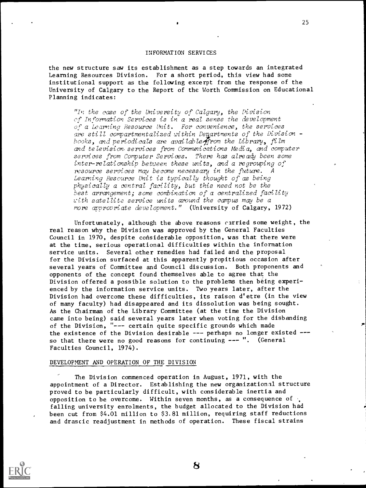the new structure saw its establishment as a step towards an integrated Learning Resources Division. For a short period, this view had some institutional support as the following excerpt from the response of the University of Calgary to the Report of the Worth Commission on Educational Planning indicates:

"In the case of the University of Calgary, the Division of Information Services is in a real sense the development of a Learning Resource Unit. For convenience, the services are still compartmentalized within Deaartments of the Division books, and periodicals are available from the Library, film and television, services from Communications Media, and computer services from Computer Services. There has already been some inter-relationship between these units, and a regrouping of resource services may become necessary in the future. A Learning Resource Unit is typically thought of as being physically a central facility, but this need not be the best arrangement; some combination of a centralized facility with satellite service units around the campus may be a more appropriate development." (University of Calgary, 1972)

Unfortunately, although the above reasons carried some weight, the real reason why the Division was approved by the General Faculties Council in 1970, despite considerable opposition, was that there were at the time, serious operational difficulties within the information service units. Several other remedies had failed and the proposal for the Division surfaced at this apparently propitious occasion after several years of Committee and Council discussion. Both proponents and opponents of the concept found themselves able to agree that the Division offered a possible solution to the problems then being experienced by the information service units. Two years later, after the Division had overcome these difficulties, its raison d'etre (in the view of many faculty) had disappeared and its dissolution was being sought. As the Chairman of the Library Committee (at the time the Division came into being) said several years later when voting for the disbanding of the Division, "--- certain quite specific grounds which made the existence of the Division desirable --- perhaps no longer existed --so that there were no good reasons for continuing --- ". (General Faculties Council, 1974).

## DEVELOPMENT AND OPERATION OF THE DIVISION

The Division commenced operation in August, 1971, with the appointment of a Director. Establishing the new organizational structure proved to be particularly difficult, with considerable inertia and opposition to be overcome. Within seven months, as a consequence of . falling university enrolments, the budget allocated to the Division had been cut from \$4.01 million to \$3.81 million, requiring staff reductions and drascic readjustment in methods of operation. These fiscal strains

![](_page_7_Picture_6.jpeg)

25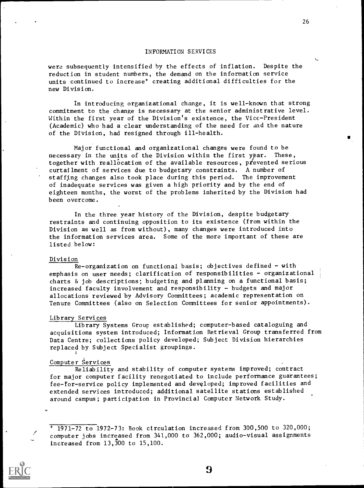were subsequently intensified by the effects of inflation. Despite the reduction in student numbers, the demand on the information service units continued to increase' creating additional difficulties for the new Division.

In introducing organizational change, it is well-known that strong commitment to the change is necessary at the senior administrative level. Within the first year of the Division's existence, the Vice-President (Academic) who had a clear understanding of the need for and the nature of the Division, had resigned through ill-health.

Major functional and organizational changes were found to be necessary in the units of the Division within the first ypar. These, together with reallocation of the available resources, prevented serious curtailment of services due to budgetary constraints. A number of staffing changes also took place during this period. The improvement of inadequate services was given a high priority and by the end of eighteen months, the worst of the problems inherited by the Division had been overcome.

In the three year history of the Division, despite budgetary restraints and continuing opposition to its existence (from within the Division as well as from without), many changes were introduced into the information services area. Some of the more important of these are listed below:

#### Division

Re-organization on functional basis; objectives defined - with emphasis on user needs; clarification of responsibilities - organizational charts & job descriptions; budgeting and planning on a functional basis; increased faculty involvement and responsibility - budgets and major allocations reviewed by Advisory Committees; academic representation on Tenure Committees (also on Selection Committees for senior appointments).

#### Library Services

Library Systems Group established; computer-based cataloguing and acquisitions system introduced; Information Retrieval Group transferred from Data Centre; collections policy developed; Subject Division hierarchies replaced by Subject Specialist groupings.

# Computer Services

Reliability and stability of computer systems improved; contract for major computer facility renegotiated to include performance guarantees; fee-for-service policy implemented and developed; improved facilities and extended services introduced; additional satellite stations established around campus; participation in Provincial Computer Network Study.

 $+$  1971-72 to 1972-73: Book circulation increased from 300,500 to 320,000; computer jobs increased from 341,000 to 362,000; audio-visual assignments increased from 13,300 to 15,100.

![](_page_8_Picture_12.jpeg)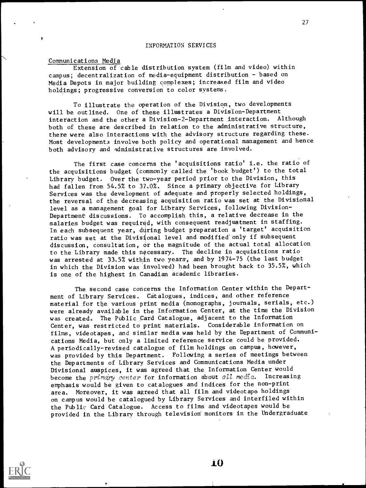# Communications Media

Extension of cable distribution system (film and video) within campus; decentralization of media-equipment distribution - based on Media Depots in major building complexes; increased film and video holdings; progressive conversion to color systems.

To illustrate the operation of the Division, two developments will be outlined. One of these illustrates a Division-Department interaction and the other a Division-2-Department interaction. Although both of these are described in relation to the administrative structure, there were also interactions with the advisory structure regarding these. Most developments involve both policy and operational management and hence both advisory and administrative structures are involved.

The first case concerns the 'acquisitions ratio' i.e. the ratio of the acquisitions budget (commonly called the 'book budget') to the total Library budget. Over the two-year period prior to the Division, this had fallen from 54.5% to 37.0%. Since a primary objective for Library Services was the development of adequate and properly selected holdings, the reversal of the decreasing acquisition ratio was set at the Divisional level as a management goal for Library Services, following Division-Department discussions. To accomplish this, a relative decrease in the salaries budget was required, with consequent readjustment in staffing. In each subsequent year, during budget preparation a 'target' acquisition ratio was set at the Divisional level and modified only if subsequent discussion, consultation,  $\sigma$ r the magnitude of the actual total allocation to the Library made this necessary. The decline in acquisitions ratio was arrested at 33.5% within two years, and by 1974-75 (the last budget in which the Division was involved) had been brought back to 35.5%, which is one of the highest in Canadian academic libraries.

The second case concerns the Information Center within the Department of Library Services. Catalogues, indices, and other reference material for the various print media (monographs, journals, serials, etc.) were already available in the Information Center, at the time the Division was created. The Public Card Catalogue, adjacent to the Information Center, was restricted to print materials. Considerable information on films, videotapes, and similar media was held by the Department of Communications Media, but only a limited reference service could be provided. A periodically-revised catalogue of film holdings on campus, however, was provided by this Department. Following a series of meetings between the Departments of Library Services and Communications Media under Divisional auspices, it was agreed that the Information Center would become the primary center for information about all media. Increasing emphasis would be given to catalogues and indices for the non-print area. Moreover, it was agreed that all film and videotape holdings on campus would be catalogued by Library Services and interfiled within the Public Card Catalogue. Access to films and videotapes would be provided in the Library through television monitors in the Undergraduate

![](_page_9_Picture_6.jpeg)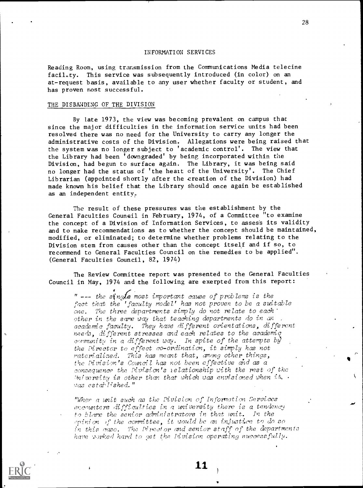Reading Room, using transmission from the Communications Media telecine facility. This service was subsequently introduced (in color) on an at-request basis, available to any user whether faculty or student, and has proven most successful.

## THE DISBANDING OF THE DIVISION

By late 1973, the view was becoming prevalent on campus that since the major difficulties in the information service units had been resolved there was no need for the University to carry any longer the administrative costs of the Division. Allegations were being raised that the system was no longer subject to 'academic control'. The view that the Library had been 'downgraded' by being incorporated within the Division, had begun to surface again. The Library, it was being said no longer had the status of 'the heart of the University'. The Chief Librarian (appointed shortly after the creation of the Division) had made known his belief that the Library should once again be established as an independent entity.

The result of these pressures was the establishment by the General Faculties Council in February, 1974, of a Committee "to examine the concept of a Division of Information Services, to assess its validity and to make recommendations as to whether the concept should be maintained, modified, or eliminated; to determine whether problems relating to the Division stem from causes other than the concept itself and if so, to recommend to General Faculties Council on the remedies to be applied". (General Faculties Council, 82, 1974)

The Review Committee report was presented to the General Faculties Council in May, 1974 and the following are exerpted from this report:

 $"$  --- the single most important cause of problems is the fact that the 'faculty model' has not proven to be a suitable one. The three departments simply do not relate to each  $\cdot$ other in the same way that teaching departments do in  $\vec w$ : academic faculty. They have different orientations, different needs, different stresses and each relates to the academic community in a different way. In spite of the attempts bzj the Pirector to effect co-ordination, it simply has not raterialized. This has meant that, among other things, the Pivisin's Council has not been effective and as a consequence the Tivision's relationship with the rest of the Iniversity is other than that which was envisioned when it.  $\cdot$ was established."

"Wher a unit such as the Pivision of Information Services encounters difficulties in a university there is a tendency t9 blare the senior administrators in that unit. In the  $opinion$  of the committee, it would be an injustice to do so in this case. The Pirector and senior staff of the departments have vorked hard to get the livision operating successfully.

![](_page_10_Picture_8.jpeg)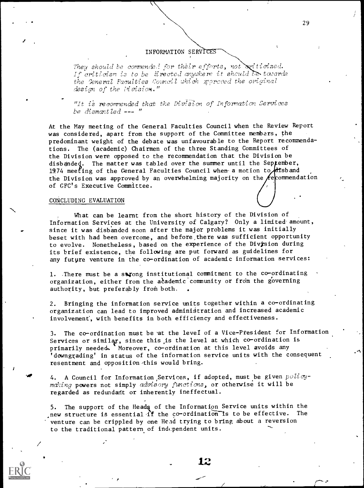They should be commended for their efforts, not smiticized.<br>If criticism is to be lirected anywhere it should towards the General Faculties Council which xproved the original  $design$  of the  $I$ ivision."

"It is recommended that the Division of Information Services be dismantled --- "

At the May meeting of the General Faculties Council when the Review Report was considered, apart from the support of the Committee members, the predominant weight of the debate was unfavourable to the Report recommendations. The (academic) Chairmen of the three Standing Committees of the Division were opposed to the recommendation that the Division be disbanded. The matter was tabled over the summer until the September, 1974 meeting of the General Faculties Council when a motion to  $A$ tsband the Division was approved by an overwhelming majority on the  $\ell$ e commendation of GFC's Executive Committee.

#### CONCLUDING EVALUATION

 $\mathbf{1}_{\{1,2,3,4\}}$ 

What can be learnt from the short history of the Division of Information Services at the University of Calgary? Only a limited amount, since it was disbanded soon after the major problems it was initially beset with had been overcome, and before,there was sufficient opportunity to evolve. Nonetheless, based on the experience of the Division during its brief existence, the following are put forward as guidelines for any future venture in the co-ordination of academic information services:

1. .There must be a strong institutional commitment to the co-ordinating organization, either from the academic community or from the governing authority, but preferably from both.

2. Bringing the information service units together within a co-ordinating organization can lead to improved administration and increased academic involvement', with benefits in both efficiency and effectiveness.

3. The co-ordination must be 'at the level of a Vice-President for Information Services or similar, since this is the level at which co-ordination is primarily needed. Moreover, co-ordination at this level avoids any 'downgrading' in status of the information service units with the consequent resentment and opposition this would bring.

4. A Council for Information Services, if adopted, must be given  $policy$ making powers not simply advisory functions, or otherwise it will be regarded as redundant or inherently ineffectual.

5. The support of the Heads of the Information Service units within the new structure is essential if the co-ordination is to be effective. The venture can be crippled by one Head trying to bring about a reversion to the traditional pattern of independent units.

![](_page_11_Picture_11.jpeg)